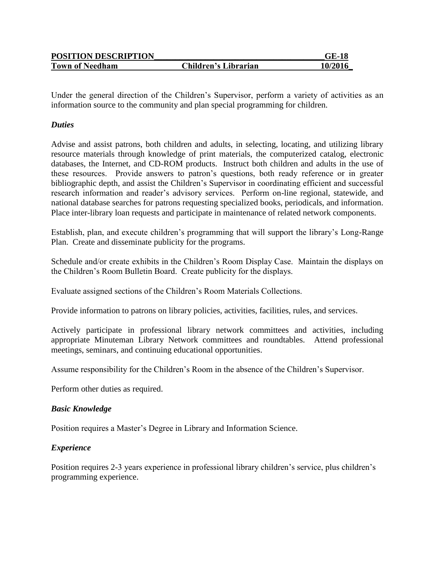| <b>POSITION DESCRIPTION</b> |                      | <b>GE-18</b> |
|-----------------------------|----------------------|--------------|
| <b>Town of Needham</b>      | Children's Librarian | 10/2016      |

Under the general direction of the Children's Supervisor, perform a variety of activities as an information source to the community and plan special programming for children.

## *Duties*

Advise and assist patrons, both children and adults, in selecting, locating, and utilizing library resource materials through knowledge of print materials, the computerized catalog, electronic databases, the Internet, and CD-ROM products. Instruct both children and adults in the use of these resources. Provide answers to patron's questions, both ready reference or in greater bibliographic depth, and assist the Children's Supervisor in coordinating efficient and successful research information and reader's advisory services. Perform on-line regional, statewide, and national database searches for patrons requesting specialized books, periodicals, and information. Place inter-library loan requests and participate in maintenance of related network components.

Establish, plan, and execute children's programming that will support the library's Long-Range Plan. Create and disseminate publicity for the programs.

Schedule and/or create exhibits in the Children's Room Display Case. Maintain the displays on the Children's Room Bulletin Board. Create publicity for the displays.

Evaluate assigned sections of the Children's Room Materials Collections.

Provide information to patrons on library policies, activities, facilities, rules, and services.

Actively participate in professional library network committees and activities, including appropriate Minuteman Library Network committees and roundtables. Attend professional meetings, seminars, and continuing educational opportunities.

Assume responsibility for the Children's Room in the absence of the Children's Supervisor.

Perform other duties as required.

## *Basic Knowledge*

Position requires a Master's Degree in Library and Information Science.

## *Experience*

Position requires 2-3 years experience in professional library children's service, plus children's programming experience.